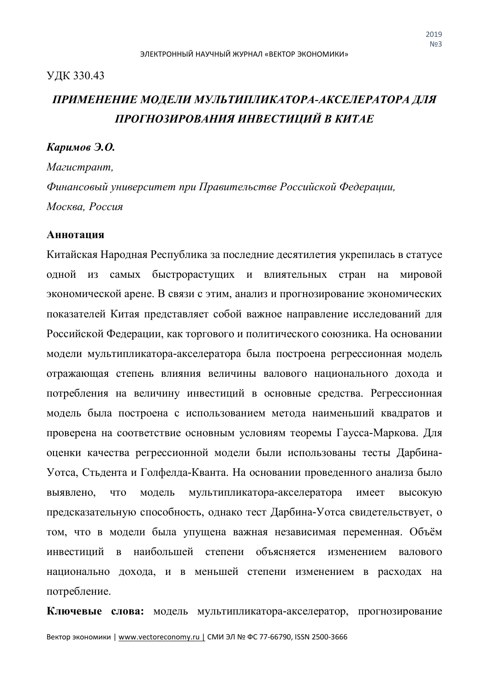#### УДК 330.43

# *ПРИМЕНЕНИЕ МОДЕЛИ МУЛЬТИПЛИКАТОРА-АКСЕЛЕРАТОРА ДЛЯ ПРОГНОЗИРОВАНИЯ ИНВЕСТИЦИЙ В КИТАЕ*

### *Каримов Э.О.*

*Магистрант, Финансовый университет при Правительстве Российской Федерации, Москва, Россия*

#### **Аннотация**

Китайская Народная Республика за последние десятилетия укрепилась в статусе одной из самых быстрорастущих и влиятельных стран на мировой экономической арене. В связи с этим, анализ и прогнозирование экономических показателей Китая представляет собой важное направление исследований для Российской Федерации, как торгового и политического союзника. На основании модели мультипликатора-акселератора была построена регрессионная модель отражающая степень влияния величины валового национального дохода и потребления на величину инвестиций в основные средства. Регрессионная модель была построена с использованием метода наименьший квадратов и проверена на соответствие основным условиям теоремы Гаусса-Маркова. Для оценки качества регрессионной модели были использованы тесты Дарбина-Уотса, Стьдента и Голфелда-Кванта. На основании проведенного анализа было выявлено, что модель мультипликатора-акселератора имеет высокую предсказательную способность, однако тест Дарбина-Уотса свидетельствует, о том, что в модели была упущена важная независимая переменная. Объём инвестиций в наибольшей степени объясняется изменением валового национально дохода, и в меньшей степени изменением в расходах на потребление.

**Ключевые слова:** модель мультипликатора-акселератор, прогнозирование

Вектор экономики | www.vectoreconomy.ru | СМИ ЭЛ № ФС 77-66790, ISSN 2500-3666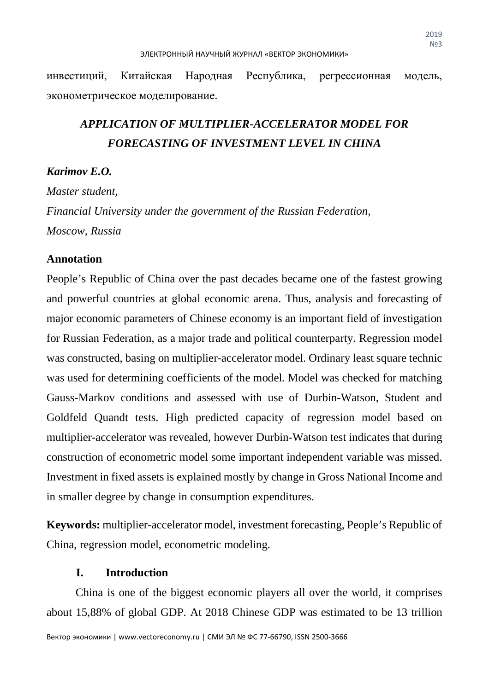инвестиций, Китайская Народная Республика, регрессионная модель, эконометрическое моделирование.

# *APPLICATION OF MULTIPLIER-ACCELERATOR MODEL FOR FORECASTING OF INVESTMENT LEVEL IN CHINA*

## *Karimov E.O.*

*Master student, Financial University under the government of the Russian Federation, Moscow, Russia*

## **Annotation**

People's Republic of China over the past decades became one of the fastest growing and powerful countries at global economic arena. Thus, analysis and forecasting of major economic parameters of Chinese economy is an important field of investigation for Russian Federation, as a major trade and political counterparty. Regression model was constructed, basing on multiplier-accelerator model. Ordinary least square technic was used for determining coefficients of the model. Model was checked for matching Gauss-Markov conditions and assessed with use of Durbin-Watson, Student and Goldfeld Quandt tests. High predicted capacity of regression model based on multiplier-accelerator was revealed, however Durbin-Watson test indicates that during construction of econometric model some important independent variable was missed. Investment in fixed assets is explained mostly by change in Gross National Income and in smaller degree by change in consumption expenditures.

**Keywords:** multiplier-accelerator model, investment forecasting, People's Republic of China, regression model, econometric modeling.

## **I. Introduction**

China is one of the biggest economic players all over the world, it comprises about 15,88% of global GDP. At 2018 Chinese GDP was estimated to be 13 trillion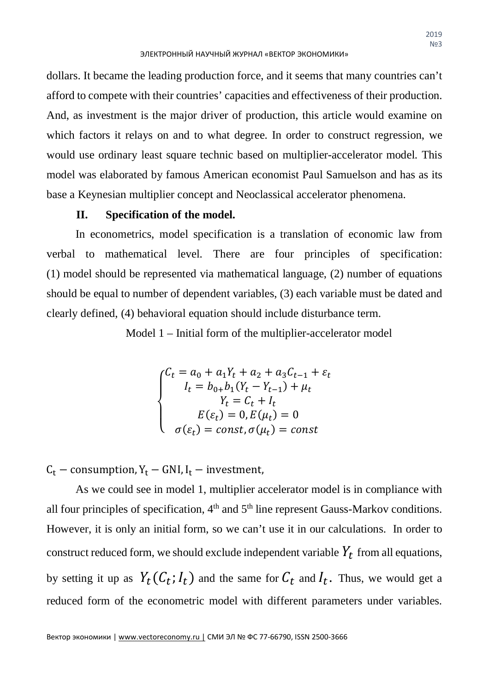dollars. It became the leading production force, and it seems that many countries can't afford to compete with their countries' capacities and effectiveness of their production. And, as investment is the major driver of production, this article would examine on which factors it relays on and to what degree. In order to construct regression, we would use ordinary least square technic based on multiplier-accelerator model. This model was elaborated by famous American economist Paul Samuelson and has as its base a Keynesian multiplier concept and Neoclassical accelerator phenomena.

## **II. Specification of the model.**

In econometrics, model specification is a translation of economic law from verbal to mathematical level. There are four principles of specification: (1) model should be represented via mathematical language, (2) number of equations should be equal to number of dependent variables, (3) each variable must be dated and clearly defined, (4) behavioral equation should include disturbance term.

Model 1 – Initial form of the multiplier-accelerator model

$$
\begin{cases}\nC_t = a_0 + a_1 Y_t + a_2 + a_3 C_{t-1} + \varepsilon_t \\
I_t = b_{0+} b_1 (Y_t - Y_{t-1}) + \mu_t \\
Y_t = C_t + I_t \\
E(\varepsilon_t) = 0, E(\mu_t) = 0 \\
\sigma(\varepsilon_t) = const, \sigma(\mu_t) = const\n\end{cases}
$$

 $C_t$  – consumption,  $Y_t$  – GNI,  $I_t$  – investment,

As we could see in model 1, multiplier accelerator model is in compliance with all four principles of specification,  $4<sup>th</sup>$  and  $5<sup>th</sup>$  line represent Gauss-Markov conditions. However, it is only an initial form, so we can't use it in our calculations. In order to construct reduced form, we should exclude independent variable  $Y_t$  from all equations, by setting it up as  $Y_t(C_t; I_t)$  and the same for  $C_t$  and  $I_t$ . Thus, we would get a reduced form of the econometric model with different parameters under variables.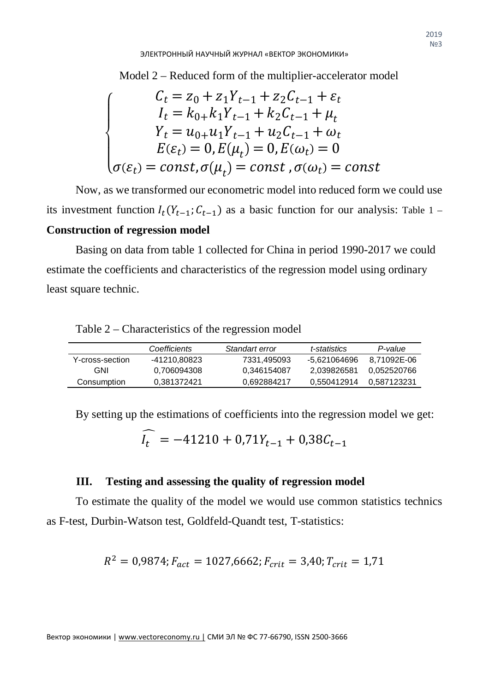Model 2 – Reduced form of the multiplier-accelerator model

$$
\begin{cases}\nC_t = z_0 + z_1 Y_{t-1} + z_2 C_{t-1} + \varepsilon_t \\
I_t = k_{0+} k_1 Y_{t-1} + k_2 C_{t-1} + \mu_t \\
Y_t = u_{0+} u_1 Y_{t-1} + u_2 C_{t-1} + \omega_t \\
E(\varepsilon_t) = 0, E(\mu_t) = 0, E(\omega_t) = 0 \\
\sigma(\varepsilon_t) = const, \sigma(\mu_t) = const, \sigma(\omega_t) = const\n\end{cases}
$$

Now, as we transformed our econometric model into reduced form we could use its investment function  $I_t(Y_{t-1}; C_{t-1})$  as a basic function for our analysis: Table 1 – **Construction of regression model**

Basing on data from table 1 collected for China in period 1990-2017 we could estimate the coefficients and characteristics of the regression model using ordinary least square technic.

|                  | Coefficients | Standart error | t-statistics | P-value     |
|------------------|--------------|----------------|--------------|-------------|
| Y-cross-section_ | -41210.80823 | 7331.495093    | -5.621064696 | 8.71092E-06 |
| GNI              | 0.706094308  | 0.346154087    | 2.039826581  | 0.052520766 |
| Consumption      | 0.381372421  | 0.692884217    | 0.550412914  | 0.587123231 |

Table 2 – Characteristics of the regression model

By setting up the estimations of coefficients into the regression model we get:

$$
\bar{l}_t = -41210 + 0.71Y_{t-1} + 0.38C_{t-1}
$$

## **III. Testing and assessing the quality of regression model**

To estimate the quality of the model we would use common statistics technics as F-test, Durbin-Watson test, Goldfeld-Quandt test, T-statistics:

$$
R^2 = 0.9874; F_{act} = 1027,6662; F_{crit} = 3.40; T_{crit} = 1.71
$$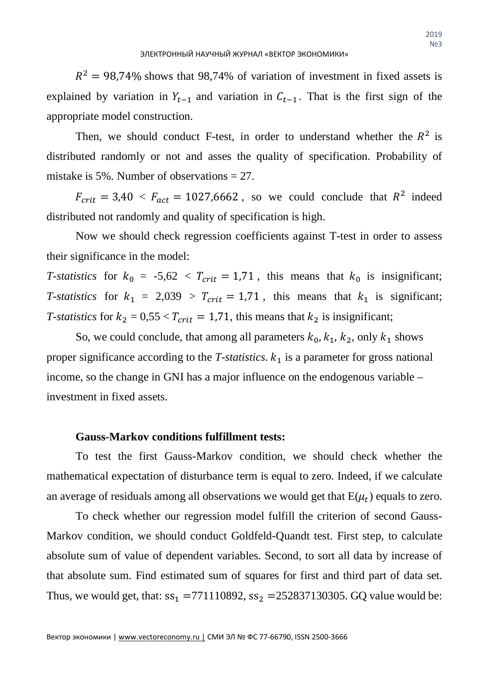$R<sup>2</sup> = 98,74\%$  shows that 98,74% of variation of investment in fixed assets is explained by variation in  $Y_{t-1}$  and variation in  $C_{t-1}$ . That is the first sign of the appropriate model construction.

Then, we should conduct F-test, in order to understand whether the  $R^2$  is distributed randomly or not and asses the quality of specification. Probability of mistake is 5%. Number of observations = 27.

 $F_{crit} = 3.40 \le F_{act} = 1027,6662$ , so we could conclude that  $R^2$  indeed distributed not randomly and quality of specification is high.

Now we should check regression coefficients against T-test in order to assess their significance in the model:

*T-statistics* for  $k_0 = -5.62 < T_{crit} = 1.71$ , this means that  $k_0$  is insignificant; *T-statistics* for  $k_1 = 2{,}039 > T_{crit} = 1{,}71$ , this means that  $k_1$  is significant; *T*-statistics for  $k_2 = 0.55 < T_{crit} = 1.71$ , this means that  $k_2$  is insignificant;

So, we could conclude, that among all parameters  $k_0, k_1, k_2$ , only  $k_1$  shows proper significance according to the *T-statistics*.  $k_1$  is a parameter for gross national income, so the change in GNI has a major influence on the endogenous variable – investment in fixed assets.

## **Gauss-Markov conditions fulfillment tests:**

To test the first Gauss-Markov condition, we should check whether the mathematical expectation of disturbance term is equal to zero. Indeed, if we calculate an average of residuals among all observations we would get that  $E(\mu_t)$  equals to zero.

To check whether our regression model fulfill the criterion of second Gauss-Markov condition, we should conduct Goldfeld-Quandt test. First step, to calculate absolute sum of value of dependent variables. Second, to sort all data by increase of that absolute sum. Find estimated sum of squares for first and third part of data set. Thus, we would get, that:  $ss_1 = 771110892$ ,  $ss_2 = 252837130305$ . GQ value would be: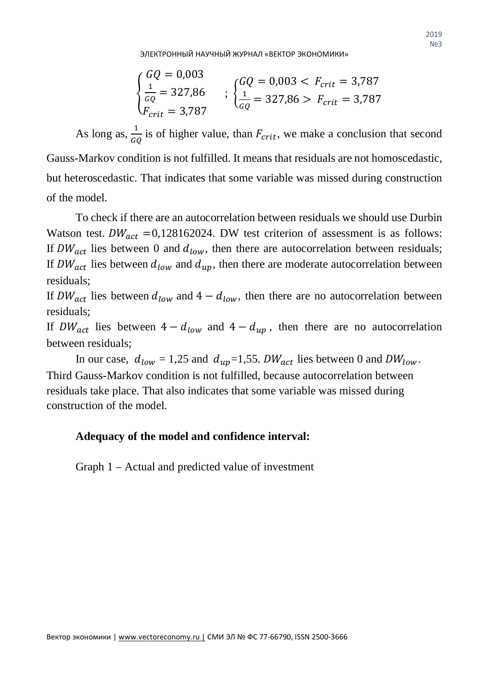ЭЛЕКТРОННЫЙ НАУЧНЫЙ ЖУРНАЛ «ВЕКТОР ЭКОНОМИКИ»

$$
\begin{cases}\nGQ = 0.003 \\
\frac{1}{GQ} = 327.86 \\
F_{crit} = 3.787\n\end{cases}
$$
\n;\n
$$
\begin{cases}\nGQ = 0.003 < F_{crit} = 3.787 \\
\frac{1}{GQ} = 327.86 > F_{crit} = 3.787\n\end{cases}
$$

As long as,  $\frac{1}{GQ}$  is of higher value, than  $F_{crit}$ , we make a conclusion that second Gauss-Markov condition is not fulfilled. It means that residuals are not homoscedastic, but heteroscedastic. That indicates that some variable was missed during construction of the model.

To check if there are an autocorrelation between residuals we should use Durbin Watson test.  $DW_{act} = 0.128162024$ . DW test criterion of assessment is as follows: If  $DW_{act}$  lies between 0 and  $d_{low}$ , then there are autocorrelation between residuals; If  $DW_{act}$  lies between  $d_{low}$  and  $d_{un}$ , then there are moderate autocorrelation between residuals;

If  $DW_{act}$  lies between  $d_{low}$  and  $4 - d_{low}$ , then there are no autocorrelation between residuals;

If  $DW_{act}$  lies between  $4 - d_{low}$  and  $4 - d_{up}$ , then there are no autocorrelation between residuals;

In our case,  $d_{low} = 1.25$  and  $d_{up} = 1.55$ .  $DW_{act}$  lies between 0 and  $DW_{low}$ . Third Gauss-Markov condition is not fulfilled, because autocorrelation between residuals take place. That also indicates that some variable was missed during construction of the model.

## **Adequacy of the model and confidence interval:**

Graph 1 – Actual and predicted value of investment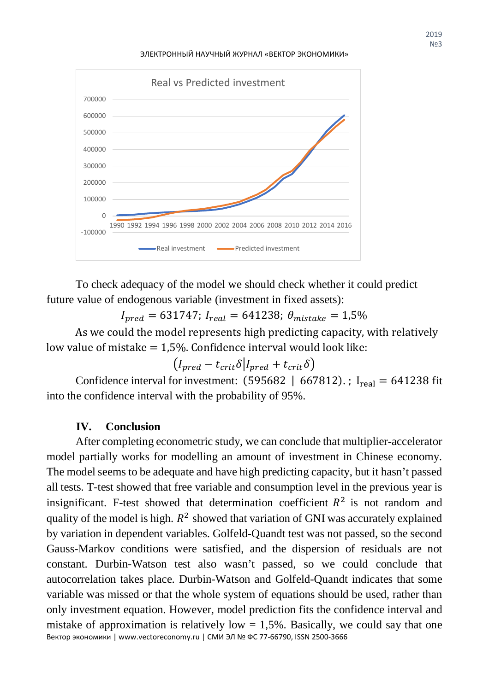ЭЛЕКТРОННЫЙ НАУЧНЫЙ ЖУРНАЛ «ВЕКТОР ЭКОНОМИКИ»



To check adequacy of the model we should check whether it could predict future value of endogenous variable (investment in fixed assets):

 $I_{pred} = 631747; I_{real} = 641238; \theta_{mistake} = 1.5\%$ 

As we could the model represents high predicting capacity, with relatively low value of mistake  $= 1.5$ %. Confidence interval would look like:

$$
(I_{pred} - t_{crit} \delta | I_{pred} + t_{crit} \delta)
$$

Confidence interval for investment:  $(595682 \mid 667812)$ .; I<sub>real</sub> = 641238 fit into the confidence interval with the probability of 95%.

## **IV. Conclusion**

After completing econometric study, we can conclude that multiplier-accelerator model partially works for modelling an amount of investment in Chinese economy. The model seems to be adequate and have high predicting capacity, but it hasn't passed all tests. T-test showed that free variable and consumption level in the previous year is insignificant. F-test showed that determination coefficient  $R^2$  is not random and quality of the model is high.  $R^2$  showed that variation of GNI was accurately explained by variation in dependent variables. Golfeld-Quandt test was not passed, so the second Gauss-Markov conditions were satisfied, and the dispersion of residuals are not constant. Durbin-Watson test also wasn't passed, so we could conclude that autocorrelation takes place. Durbin-Watson and Golfeld-Quandt indicates that some variable was missed or that the whole system of equations should be used, rather than only investment equation. However, model prediction fits the confidence interval and mistake of approximation is relatively low  $= 1.5\%$ . Basically, we could say that one Вектор экономики | www.vectoreconomy.ru | СМИ ЭЛ № ФС 77-66790, ISSN 2500-3666